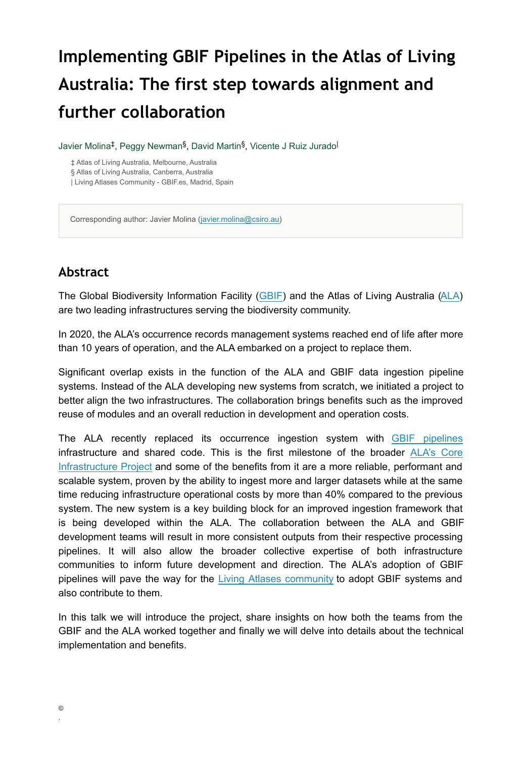# **Implementing GBIF Pipelines in the Atlas of Living Australia: The first step towards alignment and further collaboration**

Javier Molina<sup>‡</sup>, Peggy Newman<sup>§</sup>, David Martin<sup>§</sup>, Vicente J Ruiz Jurado<sup>l</sup>

‡ Atlas of Living Australia, Melbourne, Australia § Atlas of Living Australia, Canberra, Australia | Living Atlases Community - GBIF.es, Madrid, Spain

Corresponding author: Javier Molina ([javier.molina@csiro.au\)](mailto:javier.molina@csiro.au)

#### **Abstract**

The Global Biodiversity Information Facility ([GBIF\)](https://www.gbif.org/) and the Atlas of Living Australia [\(ALA](https://www.ala.org.au/)) are two leading infrastructures serving the biodiversity community.

In 2020, the ALA's occurrence records management systems reached end of life after more than 10 years of operation, and the ALA embarked on a project to replace them.

Significant overlap exists in the function of the ALA and GBIF data ingestion pipeline systems. Instead of the ALA developing new systems from scratch, we initiated a project to better align the two infrastructures. The collaboration brings benefits such as the improved reuse of modules and an overall reduction in development and operation costs.

The ALA recently replaced its occurrence ingestion system with [GBIF pipelines](https://github.com/gbif/pipelines/tree/dev/livingatlas) infrastructure and shared code. This is the first milestone of the broade[r ALA's Core](https://www.ala.org.au/current-projects/core-infrastructure-upgrade-project/) [Infrastructure Project](https://www.ala.org.au/current-projects/core-infrastructure-upgrade-project/) and some of the benefits from it are a more reliable, performant and scalable system, proven by the ability to ingest more and larger datasets while at the same time reducing infrastructure operational costs by more than 40% compared to the previous system. The new system is a key building block for an improved ingestion framework that is being developed within the ALA. The collaboration between the ALA and GBIF development teams will result in more consistent outputs from their respective processing pipelines. It will also allow the broader collective expertise of both infrastructure communities to inform future development and direction. The ALA's adoption of GBIF pipelines will pave the way for the [Living Atlases community](https://living-atlases.gbif.org/) to adopt GBIF systems and also contribute to them.

In this talk we will introduce the project, share insights on how both the teams from the GBIF and the ALA worked together and finally we will delve into details about the technical implementation and benefits.